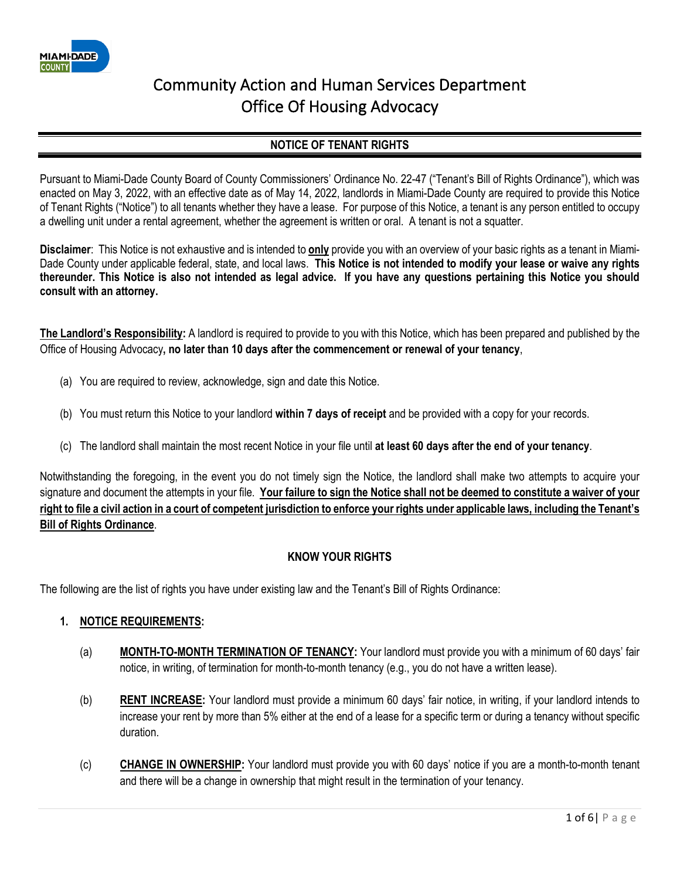

### **NOTICE OF TENANT RIGHTS**

Pursuant to Miami-Dade County Board of County Commissioners' Ordinance No. 22-47 ("Tenant's Bill of Rights Ordinance"), which was enacted on May 3, 2022, with an effective date as of May 14, 2022, landlords in Miami-Dade County are required to provide this Notice of Tenant Rights ("Notice") to all tenants whether they have a lease. For purpose of this Notice, a tenant is any person entitled to occupy a dwelling unit under a rental agreement, whether the agreement is written or oral. A tenant is not a squatter.

**Disclaimer**: This Notice is not exhaustive and is intended to **only** provide you with an overview of your basic rights as a tenant in Miami-Dade County under applicable federal, state, and local laws. **This Notice is not intended to modify your lease or waive any rights thereunder. This Notice is also not intended as legal advice. If you have any questions pertaining this Notice you should consult with an attorney.**

**The Landlord's Responsibility:** A landlord is required to provide to you with this Notice, which has been prepared and published by the Office of Housing Advocacy**, no later than 10 days after the commencement or renewal of your tenancy**,

- (a) You are required to review, acknowledge, sign and date this Notice.
- (b) You must return this Notice to your landlord **within 7 days of receipt** and be provided with a copy for your records.
- (c) The landlord shall maintain the most recent Notice in your file until **at least 60 days after the end of your tenancy**.

Notwithstanding the foregoing, in the event you do not timely sign the Notice, the landlord shall make two attempts to acquire your signature and document the attempts in your file. **Your failure to sign the Notice shall not be deemed to constitute a waiver of your right to file a civil action in a court of competent jurisdiction to enforce your rights under applicable laws, including the Tenant's Bill of Rights Ordinance**.

#### **KNOW YOUR RIGHTS**

The following are the list of rights you have under existing law and the Tenant's Bill of Rights Ordinance:

#### **1. NOTICE REQUIREMENTS:**

- (a) **MONTH-TO-MONTH TERMINATION OF TENANCY:** Your landlord must provide you with a minimum of 60 days' fair notice, in writing, of termination for month-to-month tenancy (e.g., you do not have a written lease).
- (b) **RENT INCREASE:** Your landlord must provide a minimum 60 days' fair notice, in writing, if your landlord intends to increase your rent by more than 5% either at the end of a lease for a specific term or during a tenancy without specific duration.
- (c) **CHANGE IN OWNERSHIP:** Your landlord must provide you with 60 days' notice if you are a month-to-month tenant and there will be a change in ownership that might result in the termination of your tenancy.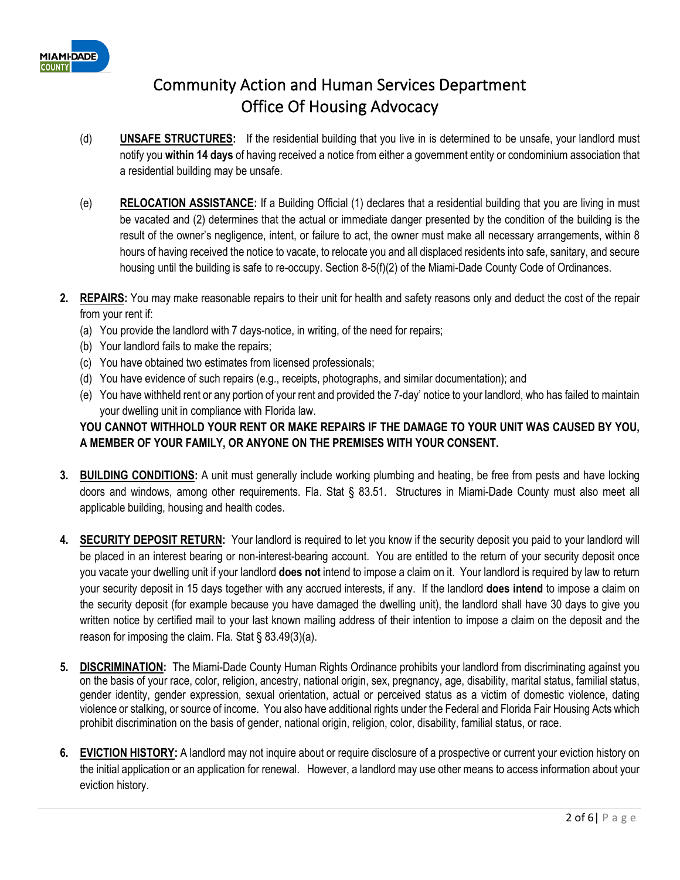

- (d) **UNSAFE STRUCTURES:** If the residential building that you live in is determined to be unsafe, your landlord must notify you **within 14 days** of having received a notice from either a government entity or condominium association that a residential building may be unsafe.
- (e) **RELOCATION ASSISTANCE:** If a Building Official (1) declares that a residential building that you are living in must be vacated and (2) determines that the actual or immediate danger presented by the condition of the building is the result of the owner's negligence, intent, or failure to act, the owner must make all necessary arrangements, within 8 hours of having received the notice to vacate, to relocate you and all displaced residents into safe, sanitary, and secure housing until the building is safe to re-occupy. Section 8-5(f)(2) of the Miami-Dade County Code of Ordinances.
- **2. REPAIRS:** You may make reasonable repairs to their unit for health and safety reasons only and deduct the cost of the repair from your rent if:
	- (a) You provide the landlord with 7 days-notice, in writing, of the need for repairs;
	- (b) Your landlord fails to make the repairs;
	- (c) You have obtained two estimates from licensed professionals;
	- (d) You have evidence of such repairs (e.g., receipts, photographs, and similar documentation); and
	- (e) You have withheld rent or any portion of your rent and provided the 7-day' notice to your landlord, who has failed to maintain your dwelling unit in compliance with Florida law.

### **YOU CANNOT WITHHOLD YOUR RENT OR MAKE REPAIRS IF THE DAMAGE TO YOUR UNIT WAS CAUSED BY YOU, A MEMBER OF YOUR FAMILY, OR ANYONE ON THE PREMISES WITH YOUR CONSENT.**

- **3. BUILDING CONDITIONS:** A unit must generally include working plumbing and heating, be free from pests and have locking doors and windows, among other requirements. Fla. Stat § 83.51. Structures in Miami-Dade County must also meet all applicable building, housing and health codes.
- **4. SECURITY DEPOSIT RETURN:** Your landlord is required to let you know if the security deposit you paid to your landlord will be placed in an interest bearing or non-interest-bearing account.You are entitled to the return of your security deposit once you vacate your dwelling unit if your landlord **does not** intend to impose a claim on it. Your landlord is required by law to return your security deposit in 15 days together with any accrued interests, if any. If the landlord **does intend** to impose a claim on the security deposit (for example because you have damaged the dwelling unit), the landlord shall have 30 days to give you written notice by certified mail to your last known mailing address of their intention to impose a claim on the deposit and the reason for imposing the claim. Fla. Stat § 83.49(3)(a).
- **5. DISCRIMINATION:** The Miami-Dade County Human Rights Ordinance prohibits your landlord from discriminating against you on the basis of your race, color, religion, ancestry, national origin, sex, pregnancy, age, disability, marital status, familial status, gender identity, gender expression, sexual orientation, actual or perceived status as a victim of domestic violence, dating violence or stalking, or source of income. You also have additional rights under the Federal and Florida Fair Housing Acts which prohibit discrimination on the basis of gender, national origin, religion, color, disability, familial status, or race.
- **6. EVICTION HISTORY:** A landlord may not inquire about or require disclosure of a prospective or current your eviction history on the initial application or an application for renewal. However, a landlord may use other means to access information about your eviction history.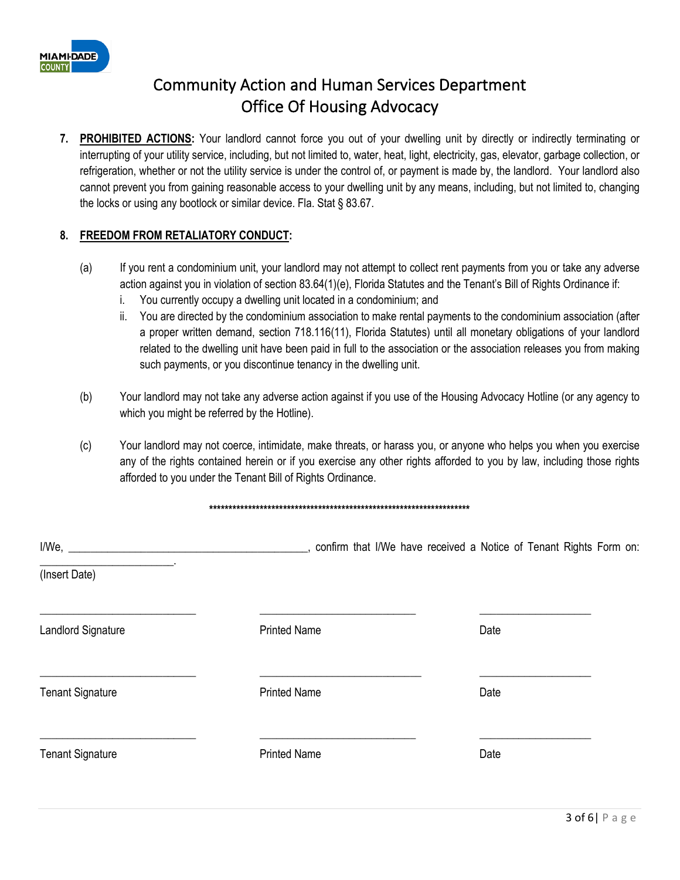

**7. PROHIBITED ACTIONS:** Your landlord cannot force you out of your dwelling unit by directly or indirectly terminating or interrupting of your utility service, including, but not limited to, water, heat, light, electricity, gas, elevator, garbage collection, or refrigeration, whether or not the utility service is under the control of, or payment is made by, the landlord. Your landlord also cannot prevent you from gaining reasonable access to your dwelling unit by any means, including, but not limited to, changing the locks or using any bootlock or similar device. Fla. Stat § 83.67.

#### **8. FREEDOM FROM RETALIATORY CONDUCT:**

- (a) If you rent a condominium unit, your landlord may not attempt to collect rent payments from you or take any adverse action against you in violation of section 83.64(1)(e), Florida Statutes and the Tenant's Bill of Rights Ordinance if:
	- i. You currently occupy a dwelling unit located in a condominium; and
	- ii. You are directed by the condominium association to make rental payments to the condominium association (after a proper written demand, section 718.116(11), Florida Statutes) until all monetary obligations of your landlord related to the dwelling unit have been paid in full to the association or the association releases you from making such payments, or you discontinue tenancy in the dwelling unit.
- (b) Your landlord may not take any adverse action against if you use of the Housing Advocacy Hotline (or any agency to which you might be referred by the Hotline).
- (c) Your landlord may not coerce, intimidate, make threats, or harass you, or anyone who helps you when you exercise any of the rights contained herein or if you exercise any other rights afforded to you by law, including those rights afforded to you under the Tenant Bill of Rights Ordinance.

#### **\*\*\*\*\*\*\*\*\*\*\*\*\*\*\*\*\*\*\*\*\*\*\*\*\*\*\*\*\*\*\*\*\*\*\*\*\*\*\*\*\*\*\*\*\*\*\*\*\*\*\*\*\*\*\*\*\*\*\*\*\*\*\*\*\*\*\***

|                           | _, confirm that I/We have received a Notice of Tenant Rights Form on: |      |
|---------------------------|-----------------------------------------------------------------------|------|
| (Insert Date)             |                                                                       |      |
| <b>Landlord Signature</b> | <b>Printed Name</b>                                                   | Date |
| <b>Tenant Signature</b>   | <b>Printed Name</b>                                                   | Date |
| <b>Tenant Signature</b>   | <b>Printed Name</b>                                                   | Date |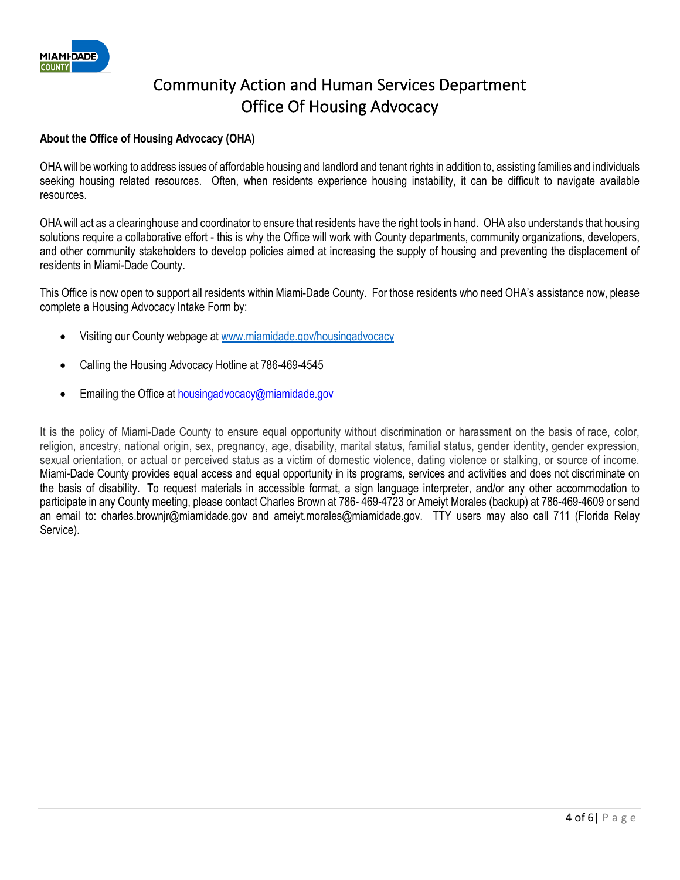

#### **About the Office of Housing Advocacy (OHA)**

OHA will be working to address issues of affordable housing and landlord and tenant rights in addition to, assisting families and individuals seeking housing related resources. Often, when residents experience housing instability, it can be difficult to navigate available resources.

OHA will act as a clearinghouse and coordinator to ensure that residents have the right tools in hand. OHA also understands that housing solutions require a collaborative effort - this is why the Office will work with County departments, community organizations, developers, and other community stakeholders to develop policies aimed at increasing the supply of housing and preventing the displacement of residents in Miami-Dade County.

This Office is now open to support all residents within Miami-Dade County. For those residents who need OHA's assistance now, please complete a Housing Advocacy Intake Form by:

- Visiting our County webpage at [www.miamidade.gov/housingadvocacy](http://www.miamidade.gov/housingadvocacy)
- Calling the Housing Advocacy Hotline at 786-469-4545
- Emailing the Office at [housingadvocacy@miamidade.gov](mailto:housingadvocacy@miamidade.gov)

It is the policy of Miami-Dade County to ensure equal opportunity without discrimination or harassment on the basis of race, color, religion, ancestry, national origin, sex, pregnancy, age, disability, marital status, familial status, gender identity, gender expression, sexual orientation, or actual or perceived status as a victim of domestic violence, dating violence or stalking, or source of income. Miami-Dade County provides equal access and equal opportunity in its programs, services and activities and does not discriminate on the basis of disability. To request materials in accessible format, a sign language interpreter, and/or any other accommodation to participate in any County meeting, please contact Charles Brown at 786- 469-4723 or Ameiyt Morales (backup) at 786-469-4609 or send an email to: charles.brownjr@miamidade.gov and ameiyt.morales@miamidade.gov. TTY users may also call 711 (Florida Relay Service).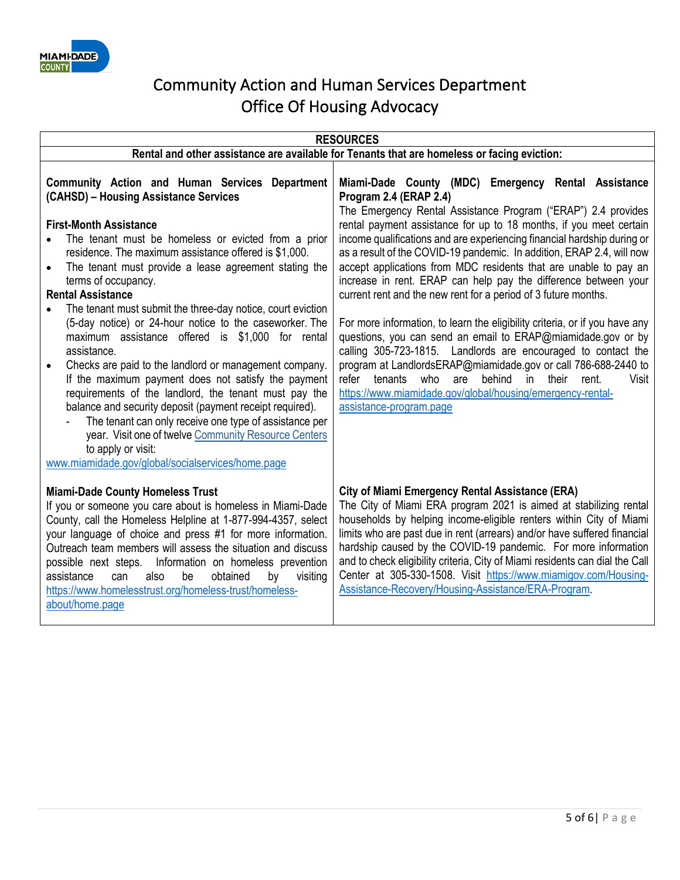

| <b>RESOURCES</b>                                                                                                                                                                                                                                                                                                                                                                                                                                                                                                                                                                                                                                                                                                                                                                                                                                                                                                                                                                                         |                                                                                                                                                                                                                                                                                                                                                                                                                                                                                                                                                                                                                                                                                                                                                                                                                                                                                                                                                                                                                                           |  |  |
|----------------------------------------------------------------------------------------------------------------------------------------------------------------------------------------------------------------------------------------------------------------------------------------------------------------------------------------------------------------------------------------------------------------------------------------------------------------------------------------------------------------------------------------------------------------------------------------------------------------------------------------------------------------------------------------------------------------------------------------------------------------------------------------------------------------------------------------------------------------------------------------------------------------------------------------------------------------------------------------------------------|-------------------------------------------------------------------------------------------------------------------------------------------------------------------------------------------------------------------------------------------------------------------------------------------------------------------------------------------------------------------------------------------------------------------------------------------------------------------------------------------------------------------------------------------------------------------------------------------------------------------------------------------------------------------------------------------------------------------------------------------------------------------------------------------------------------------------------------------------------------------------------------------------------------------------------------------------------------------------------------------------------------------------------------------|--|--|
| Rental and other assistance are available for Tenants that are homeless or facing eviction:                                                                                                                                                                                                                                                                                                                                                                                                                                                                                                                                                                                                                                                                                                                                                                                                                                                                                                              |                                                                                                                                                                                                                                                                                                                                                                                                                                                                                                                                                                                                                                                                                                                                                                                                                                                                                                                                                                                                                                           |  |  |
| <b>Community Action and Human Services Department</b><br>(CAHSD) - Housing Assistance Services<br><b>First-Month Assistance</b><br>The tenant must be homeless or evicted from a prior<br>residence. The maximum assistance offered is \$1,000.<br>The tenant must provide a lease agreement stating the<br>$\bullet$<br>terms of occupancy.<br><b>Rental Assistance</b><br>The tenant must submit the three-day notice, court eviction<br>(5-day notice) or 24-hour notice to the caseworker. The<br>maximum assistance offered is \$1,000 for rental<br>assistance.<br>Checks are paid to the landlord or management company.<br>If the maximum payment does not satisfy the payment<br>requirements of the landlord, the tenant must pay the<br>balance and security deposit (payment receipt required).<br>The tenant can only receive one type of assistance per<br>year. Visit one of twelve Community Resource Centers<br>to apply or visit:<br>www.miamidade.gov/global/socialservices/home.page | Miami-Dade County (MDC) Emergency Rental Assistance<br>Program 2.4 (ERAP 2.4)<br>The Emergency Rental Assistance Program ("ERAP") 2.4 provides<br>rental payment assistance for up to 18 months, if you meet certain<br>income qualifications and are experiencing financial hardship during or<br>as a result of the COVID-19 pandemic. In addition, ERAP 2.4, will now<br>accept applications from MDC residents that are unable to pay an<br>increase in rent. ERAP can help pay the difference between your<br>current rent and the new rent for a period of 3 future months.<br>For more information, to learn the eligibility criteria, or if you have any<br>questions, you can send an email to ERAP@miamidade.gov or by<br>calling 305-723-1815. Landlords are encouraged to contact the<br>program at LandlordsERAP@miamidade.gov or call 786-688-2440 to<br>who<br>behind<br>their<br>refer<br>tenants<br>are<br>in<br>rent.<br>Visit<br>https://www.miamidade.gov/global/housing/emergency-rental-<br>assistance-program.page |  |  |
| <b>Miami-Dade County Homeless Trust</b><br>If you or someone you care about is homeless in Miami-Dade<br>County, call the Homeless Helpline at 1-877-994-4357, select<br>your language of choice and press #1 for more information.<br>Outreach team members will assess the situation and discuss<br>possible next steps. Information on homeless prevention<br>be<br>assistance<br>also<br>obtained<br>visiting<br>can<br>by<br>https://www.homelesstrust.org/homeless-trust/homeless-<br>about/home.page                                                                                                                                                                                                                                                                                                                                                                                                                                                                                              | <b>City of Miami Emergency Rental Assistance (ERA)</b><br>The City of Miami ERA program 2021 is aimed at stabilizing rental<br>households by helping income-eligible renters within City of Miami<br>limits who are past due in rent (arrears) and/or have suffered financial<br>hardship caused by the COVID-19 pandemic. For more information<br>and to check eligibility criteria, City of Miami residents can dial the Call<br>Center at 305-330-1508. Visit https://www.miamigov.com/Housing-<br>Assistance-Recovery/Housing-Assistance/ERA-Program.                                                                                                                                                                                                                                                                                                                                                                                                                                                                                 |  |  |